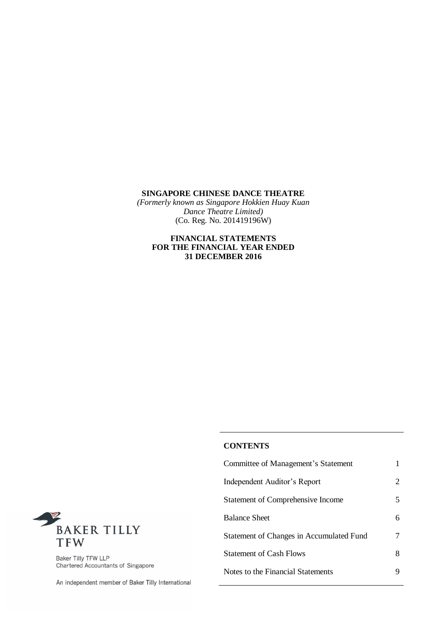*(Formerly known as Singapore Hokkien Huay Kuan Dance Theatre Limited)* (Co. Reg. No. 201419196W)

### **FINANCIAL STATEMENTS FOR THE FINANCIAL YEAR ENDED 31 DECEMBER 2016**

# **CONTENTS**

| Committee of Management's Statement      |                       |
|------------------------------------------|-----------------------|
| Independent Auditor's Report             | $\mathcal{D}_{\cdot}$ |
| Statement of Comprehensive Income        | 5                     |
| <b>Balance Sheet</b>                     |                       |
| Statement of Changes in Accumulated Fund |                       |
| <b>Statement of Cash Flows</b>           | 8                     |
| Notes to the Financial Statements        |                       |



Baker Tilly TFW LLP<br>Chartered Accountants of Singapore

An independent member of Baker Tilly International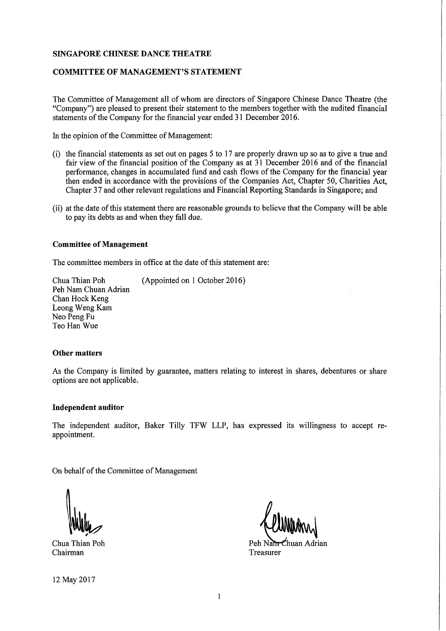#### **COMMITTEE OF MANAGEMENT'S STATEMENT**

The Committee of Management all of whom are directors of Singapore Chinese Dance Theatre (the "Company") are pleased to present their statement to the members together with the audited financial statements of the Company for the financial year ended 31 December 2016.

In the opinion of the Committee of Management:

- (i) the financial statements as set out on pages 5 to 17 are properly drawn up so as to give a true and fair view of the financial position of the Company as at 31 December 2016 and of the financial performance, changes in accumulated fund and cash flows of the Company for the financial year then ended in accordance with the provisions of the Companies Act, Chapter 50, Charities Act, Chapter 37 and other relevant regulations and Financial Reporting Standards in Singapore; and
- (ii) at the date of this statement there are reasonable grounds to believe that the Company will be able to pay its debts as and when they fall due.

#### **Committee of Management**

The committee members in office at the date of this statement are:

Chua Thian Poh (Appointed on 1 October 2016) Peh Nam Chuan Adrian Chan Hock Keng Leong Weng Kam Neo Peng Fu Teo Han Wue

#### **Other matters**

As the Company is limited by guarantee, matters relating to interest in shares, debentures or share options are not applicable.

#### **Independent auditor**

The independent auditor, Baker Tilly TFW LLP, has expressed its willingness to accept reappointment.

On behalf of the Committee of Management

Chua Thian Poh Chairman

Peh Natur Chuan Adrian Treasurer

12 May 2017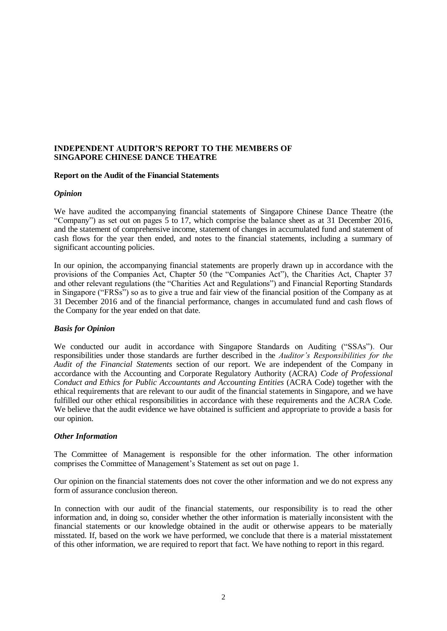## **INDEPENDENT AUDITOR'S REPORT TO THE MEMBERS OF SINGAPORE CHINESE DANCE THEATRE**

#### **Report on the Audit of the Financial Statements**

#### *Opinion*

We have audited the accompanying financial statements of Singapore Chinese Dance Theatre (the "Company") as set out on pages 5 to 17, which comprise the balance sheet as at 31 December 2016, and the statement of comprehensive income, statement of changes in accumulated fund and statement of cash flows for the year then ended, and notes to the financial statements, including a summary of significant accounting policies.

In our opinion, the accompanying financial statements are properly drawn up in accordance with the provisions of the Companies Act, Chapter 50 (the "Companies Act"), the Charities Act, Chapter 37 and other relevant regulations (the "Charities Act and Regulations") and Financial Reporting Standards in Singapore ("FRSs") so as to give a true and fair view of the financial position of the Company as at 31 December 2016 and of the financial performance, changes in accumulated fund and cash flows of the Company for the year ended on that date.

## *Basis for Opinion*

We conducted our audit in accordance with Singapore Standards on Auditing ("SSAs"). Our responsibilities under those standards are further described in the *Auditor's Responsibilities for the Audit of the Financial Statements* section of our report. We are independent of the Company in accordance with the Accounting and Corporate Regulatory Authority (ACRA) *Code of Professional Conduct and Ethics for Public Accountants and Accounting Entities* (ACRA Code) together with the ethical requirements that are relevant to our audit of the financial statements in Singapore, and we have fulfilled our other ethical responsibilities in accordance with these requirements and the ACRA Code. We believe that the audit evidence we have obtained is sufficient and appropriate to provide a basis for our opinion.

#### *Other Information*

The Committee of Management is responsible for the other information. The other information comprises the Committee of Management's Statement as set out on page 1.

Our opinion on the financial statements does not cover the other information and we do not express any form of assurance conclusion thereon.

In connection with our audit of the financial statements, our responsibility is to read the other information and, in doing so, consider whether the other information is materially inconsistent with the financial statements or our knowledge obtained in the audit or otherwise appears to be materially misstated. If, based on the work we have performed, we conclude that there is a material misstatement of this other information, we are required to report that fact. We have nothing to report in this regard.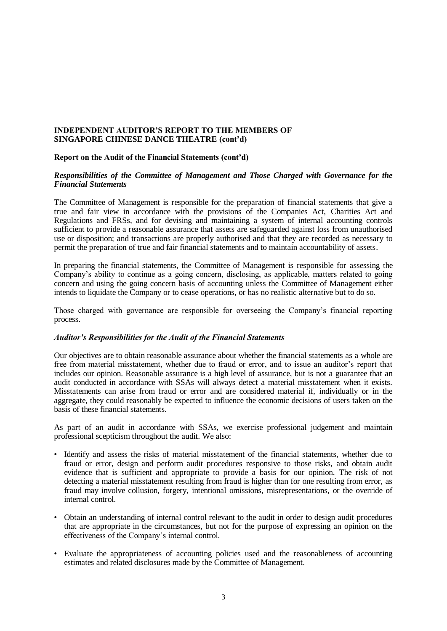### **INDEPENDENT AUDITOR'S REPORT TO THE MEMBERS OF SINGAPORE CHINESE DANCE THEATRE (cont'd)**

#### **Report on the Audit of the Financial Statements (cont'd)**

#### *Responsibilities of the Committee of Management and Those Charged with Governance for the Financial Statements*

The Committee of Management is responsible for the preparation of financial statements that give a true and fair view in accordance with the provisions of the Companies Act, Charities Act and Regulations and FRSs, and for devising and maintaining a system of internal accounting controls sufficient to provide a reasonable assurance that assets are safeguarded against loss from unauthorised use or disposition; and transactions are properly authorised and that they are recorded as necessary to permit the preparation of true and fair financial statements and to maintain accountability of assets.

In preparing the financial statements, the Committee of Management is responsible for assessing the Company's ability to continue as a going concern, disclosing, as applicable, matters related to going concern and using the going concern basis of accounting unless the Committee of Management either intends to liquidate the Company or to cease operations, or has no realistic alternative but to do so.

Those charged with governance are responsible for overseeing the Company's financial reporting process.

#### *Auditor's Responsibilities for the Audit of the Financial Statements*

Our objectives are to obtain reasonable assurance about whether the financial statements as a whole are free from material misstatement, whether due to fraud or error, and to issue an auditor's report that includes our opinion. Reasonable assurance is a high level of assurance, but is not a guarantee that an audit conducted in accordance with SSAs will always detect a material misstatement when it exists. Misstatements can arise from fraud or error and are considered material if, individually or in the aggregate, they could reasonably be expected to influence the economic decisions of users taken on the basis of these financial statements.

As part of an audit in accordance with SSAs, we exercise professional judgement and maintain professional scepticism throughout the audit. We also:

- Identify and assess the risks of material misstatement of the financial statements, whether due to fraud or error, design and perform audit procedures responsive to those risks, and obtain audit evidence that is sufficient and appropriate to provide a basis for our opinion. The risk of not detecting a material misstatement resulting from fraud is higher than for one resulting from error, as fraud may involve collusion, forgery, intentional omissions, misrepresentations, or the override of internal control.
- Obtain an understanding of internal control relevant to the audit in order to design audit procedures that are appropriate in the circumstances, but not for the purpose of expressing an opinion on the effectiveness of the Company's internal control.
- Evaluate the appropriateness of accounting policies used and the reasonableness of accounting estimates and related disclosures made by the Committee of Management.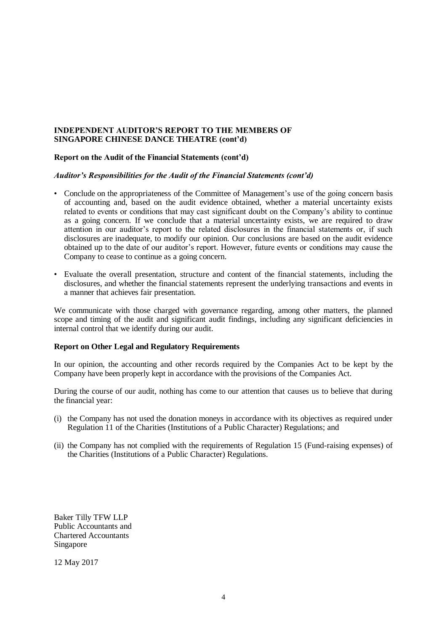### **INDEPENDENT AUDITOR'S REPORT TO THE MEMBERS OF SINGAPORE CHINESE DANCE THEATRE (cont'd)**

#### **Report on the Audit of the Financial Statements (cont'd)**

#### *Auditor's Responsibilities for the Audit of the Financial Statements (cont'd)*

- Conclude on the appropriateness of the Committee of Management's use of the going concern basis of accounting and, based on the audit evidence obtained, whether a material uncertainty exists related to events or conditions that may cast significant doubt on the Company's ability to continue as a going concern. If we conclude that a material uncertainty exists, we are required to draw attention in our auditor's report to the related disclosures in the financial statements or, if such disclosures are inadequate, to modify our opinion. Our conclusions are based on the audit evidence obtained up to the date of our auditor's report. However, future events or conditions may cause the Company to cease to continue as a going concern.
- Evaluate the overall presentation, structure and content of the financial statements, including the disclosures, and whether the financial statements represent the underlying transactions and events in a manner that achieves fair presentation.

We communicate with those charged with governance regarding, among other matters, the planned scope and timing of the audit and significant audit findings, including any significant deficiencies in internal control that we identify during our audit.

#### **Report on Other Legal and Regulatory Requirements**

In our opinion, the accounting and other records required by the Companies Act to be kept by the Company have been properly kept in accordance with the provisions of the Companies Act.

During the course of our audit, nothing has come to our attention that causes us to believe that during the financial year:

- (i) the Company has not used the donation moneys in accordance with its objectives as required under Regulation 11 of the Charities (Institutions of a Public Character) Regulations; and
- (ii) the Company has not complied with the requirements of Regulation 15 (Fund-raising expenses) of the Charities (Institutions of a Public Character) Regulations.

Baker Tilly TFW LLP Public Accountants and Chartered Accountants Singapore

12 May 2017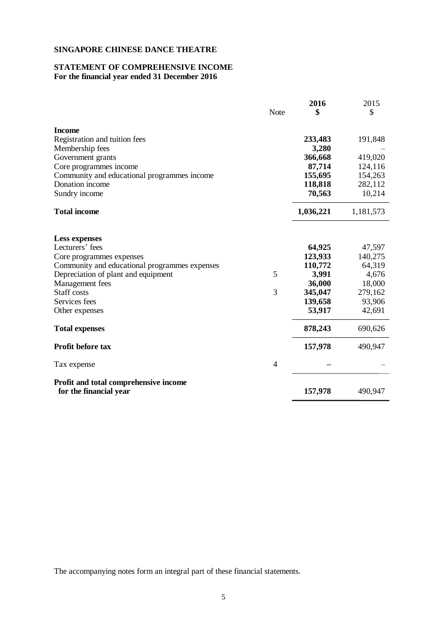#### **STATEMENT OF COMPREHENSIVE INCOME For the financial year ended 31 December 2016**

|                                                                 | Note | 2016<br>\$ | 2015<br>\$ |
|-----------------------------------------------------------------|------|------------|------------|
| <b>Income</b>                                                   |      |            |            |
| Registration and tuition fees                                   |      | 233,483    | 191,848    |
| Membership fees                                                 |      | 3,280      |            |
| Government grants                                               |      | 366,668    | 419,020    |
| Core programmes income                                          |      | 87,714     | 124,116    |
| Community and educational programmes income                     |      | 155,695    | 154,263    |
| Donation income                                                 |      | 118,818    | 282,112    |
| Sundry income                                                   |      | 70,563     | 10,214     |
| <b>Total income</b>                                             |      | 1,036,221  | 1,181,573  |
| <b>Less expenses</b>                                            |      |            |            |
| Lecturers' fees                                                 |      | 64,925     | 47,597     |
| Core programmes expenses                                        |      | 123,933    | 140,275    |
| Community and educational programmes expenses                   |      | 110,772    | 64,319     |
| Depreciation of plant and equipment                             | 5    | 3,991      | 4,676      |
| Management fees                                                 |      | 36,000     | 18,000     |
| Staff costs                                                     | 3    | 345,047    | 279,162    |
| Services fees                                                   |      | 139,658    | 93,906     |
| Other expenses                                                  |      | 53,917     | 42,691     |
| <b>Total expenses</b>                                           |      | 878,243    | 690,626    |
| Profit before tax                                               |      | 157,978    | 490,947    |
| Tax expense                                                     | 4    |            |            |
| Profit and total comprehensive income<br>for the financial year |      | 157,978    | 490,947    |
|                                                                 |      |            |            |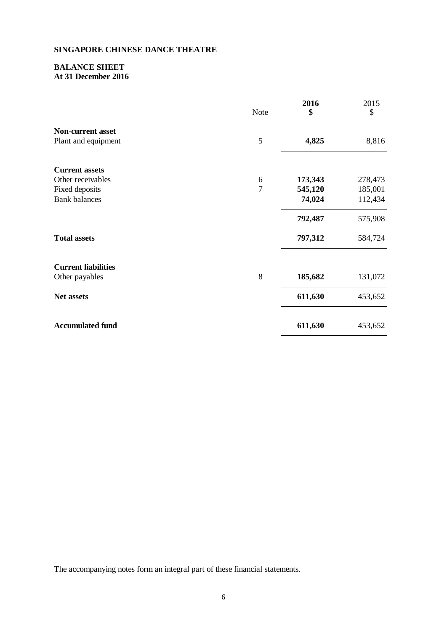# **BALANCE SHEET At 31 December 2016**

|                            | Note           | 2016<br>\$ | 2015<br>\$ |
|----------------------------|----------------|------------|------------|
| <b>Non-current asset</b>   |                |            |            |
| Plant and equipment        | 5              | 4,825      | 8,816      |
| <b>Current assets</b>      |                |            |            |
| Other receivables          | 6              | 173,343    | 278,473    |
| Fixed deposits             | $\overline{7}$ | 545,120    | 185,001    |
| <b>Bank</b> balances       |                | 74,024     | 112,434    |
|                            |                | 792,487    | 575,908    |
| <b>Total assets</b>        |                | 797,312    | 584,724    |
| <b>Current liabilities</b> |                |            |            |
| Other payables             | 8              | 185,682    | 131,072    |
| Net assets                 |                | 611,630    | 453,652    |
| <b>Accumulated fund</b>    |                | 611,630    | 453,652    |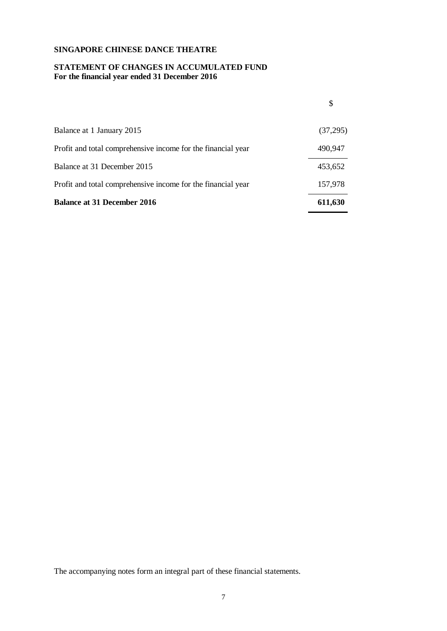#### **STATEMENT OF CHANGES IN ACCUMULATED FUND For the financial year ended 31 December 2016**

|                                                              | \$       |
|--------------------------------------------------------------|----------|
| Balance at 1 January 2015                                    | (37,295) |
| Profit and total comprehensive income for the financial year | 490,947  |
| Balance at 31 December 2015                                  | 453,652  |
| Profit and total comprehensive income for the financial year | 157,978  |
| <b>Balance at 31 December 2016</b>                           | 611,630  |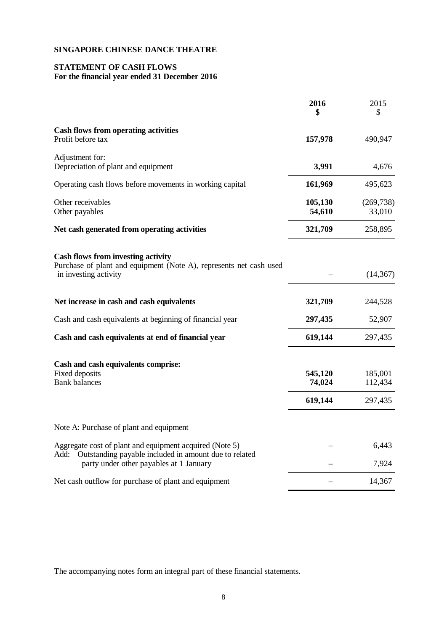### **STATEMENT OF CASH FLOWS For the financial year ended 31 December 2016**

|                                                                                                                                          | 2016<br>\$                   | 2015<br>S                     |
|------------------------------------------------------------------------------------------------------------------------------------------|------------------------------|-------------------------------|
| <b>Cash flows from operating activities</b><br>Profit before tax                                                                         | 157,978                      | 490,947                       |
| Adjustment for:<br>Depreciation of plant and equipment                                                                                   | 3,991                        | 4,676                         |
| Operating cash flows before movements in working capital                                                                                 | 161,969                      | 495,623                       |
| Other receivables<br>Other payables                                                                                                      | 105,130<br>54,610            | (269, 738)<br>33,010          |
| Net cash generated from operating activities                                                                                             | 321,709                      | 258,895                       |
| <b>Cash flows from investing activity</b><br>Purchase of plant and equipment (Note A), represents net cash used<br>in investing activity |                              | (14, 367)                     |
| Net increase in cash and cash equivalents                                                                                                | 321,709                      | 244,528                       |
| Cash and cash equivalents at beginning of financial year                                                                                 | 297,435                      | 52,907                        |
| Cash and cash equivalents at end of financial year                                                                                       | 619,144                      | 297,435                       |
| Cash and cash equivalents comprise:<br>Fixed deposits<br><b>Bank balances</b>                                                            | 545,120<br>74,024<br>619,144 | 185,001<br>112,434<br>297,435 |
| Note A: Purchase of plant and equipment                                                                                                  |                              |                               |
| Aggregate cost of plant and equipment acquired (Note 5)<br>Add:<br>Outstanding payable included in amount due to related                 |                              | 6,443                         |
| party under other payables at 1 January                                                                                                  |                              | 7,924                         |
| Net cash outflow for purchase of plant and equipment                                                                                     |                              | 14,367                        |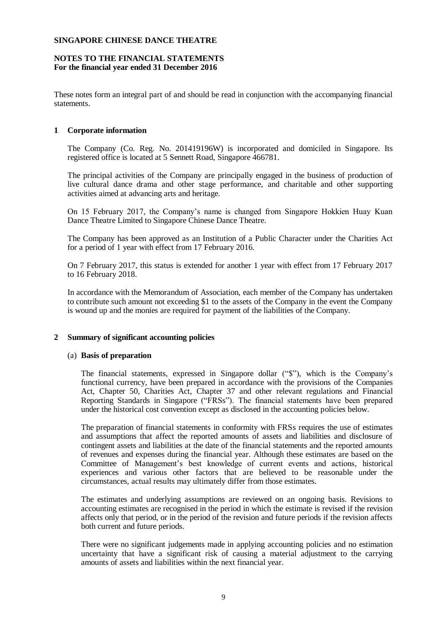### **NOTES TO THE FINANCIAL STATEMENTS For the financial year ended 31 December 2016**

These notes form an integral part of and should be read in conjunction with the accompanying financial statements.

## **1 Corporate information**

The Company (Co. Reg. No. 201419196W) is incorporated and domiciled in Singapore. Its registered office is located at 5 Sennett Road, Singapore 466781.

The principal activities of the Company are principally engaged in the business of production of live cultural dance drama and other stage performance, and charitable and other supporting activities aimed at advancing arts and heritage.

On 15 February 2017, the Company's name is changed from Singapore Hokkien Huay Kuan Dance Theatre Limited to Singapore Chinese Dance Theatre.

The Company has been approved as an Institution of a Public Character under the Charities Act for a period of 1 year with effect from 17 February 2016.

On 7 February 2017, this status is extended for another 1 year with effect from 17 February 2017 to 16 February 2018.

In accordance with the Memorandum of Association, each member of the Company has undertaken to contribute such amount not exceeding \$1 to the assets of the Company in the event the Company is wound up and the monies are required for payment of the liabilities of the Company.

## **2 Summary of significant accounting policies**

#### (a) **Basis of preparation**

The financial statements, expressed in Singapore dollar ("\$"), which is the Company's functional currency, have been prepared in accordance with the provisions of the Companies Act, Chapter 50, Charities Act, Chapter 37 and other relevant regulations and Financial Reporting Standards in Singapore ("FRSs"). The financial statements have been prepared under the historical cost convention except as disclosed in the accounting policies below.

The preparation of financial statements in conformity with FRSs requires the use of estimates and assumptions that affect the reported amounts of assets and liabilities and disclosure of contingent assets and liabilities at the date of the financial statements and the reported amounts of revenues and expenses during the financial year. Although these estimates are based on the Committee of Management's best knowledge of current events and actions, historical experiences and various other factors that are believed to be reasonable under the circumstances, actual results may ultimately differ from those estimates.

The estimates and underlying assumptions are reviewed on an ongoing basis. Revisions to accounting estimates are recognised in the period in which the estimate is revised if the revision affects only that period, or in the period of the revision and future periods if the revision affects both current and future periods.

There were no significant judgements made in applying accounting policies and no estimation uncertainty that have a significant risk of causing a material adjustment to the carrying amounts of assets and liabilities within the next financial year.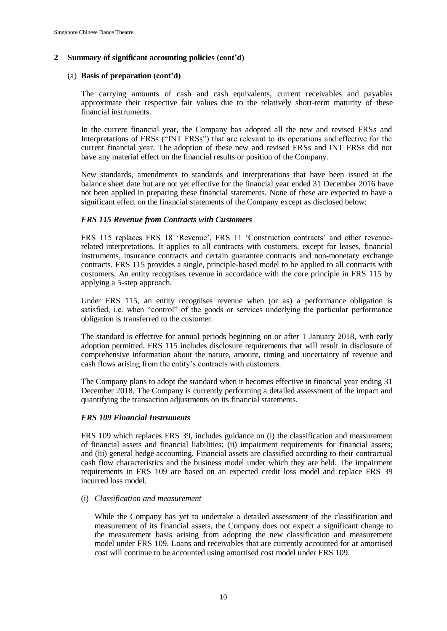# (a) **Basis of preparation (cont'd)**

The carrying amounts of cash and cash equivalents, current receivables and payables approximate their respective fair values due to the relatively short-term maturity of these financial instruments.

In the current financial year, the Company has adopted all the new and revised FRSs and Interpretations of FRSs ("INT FRSs") that are relevant to its operations and effective for the current financial year. The adoption of these new and revised FRSs and INT FRSs did not have any material effect on the financial results or position of the Company.

New standards, amendments to standards and interpretations that have been issued at the balance sheet date but are not yet effective for the financial year ended 31 December 2016 have not been applied in preparing these financial statements. None of these are expected to have a significant effect on the financial statements of the Company except as disclosed below:

#### *FRS 115 Revenue from Contracts with Customers*

FRS 115 replaces FRS 18 'Revenue', FRS 11 'Construction contracts' and other revenuerelated interpretations. It applies to all contracts with customers, except for leases, financial instruments, insurance contracts and certain guarantee contracts and non-monetary exchange contracts. FRS 115 provides a single, principle-based model to be applied to all contracts with customers. An entity recognises revenue in accordance with the core principle in FRS 115 by applying a 5-step approach.

Under FRS 115, an entity recognises revenue when (or as) a performance obligation is satisfied, i.e. when "control" of the goods or services underlying the particular performance obligation is transferred to the customer.

The standard is effective for annual periods beginning on or after 1 January 2018, with early adoption permitted. FRS 115 includes disclosure requirements that will result in disclosure of comprehensive information about the nature, amount, timing and uncertainty of revenue and cash flows arising from the entity's contracts with customers.

The Company plans to adopt the standard when it becomes effective in financial year ending 31 December 2018. The Company is currently performing a detailed assessment of the impact and quantifying the transaction adjustments on its financial statements.

# *FRS 109 Financial Instruments*

FRS 109 which replaces FRS 39, includes guidance on (i) the classification and measurement of financial assets and financial liabilities; (ii) impairment requirements for financial assets; and (iii) general hedge accounting. Financial assets are classified according to their contractual cash flow characteristics and the business model under which they are held. The impairment requirements in FRS 109 are based on an expected credit loss model and replace FRS 39 incurred loss model.

#### (i) *Classification and measurement*

While the Company has yet to undertake a detailed assessment of the classification and measurement of its financial assets, the Company does not expect a significant change to the measurement basis arising from adopting the new classification and measurement model under FRS 109. Loans and receivables that are currently accounted for at amortised cost will continue to be accounted using amortised cost model under FRS 109.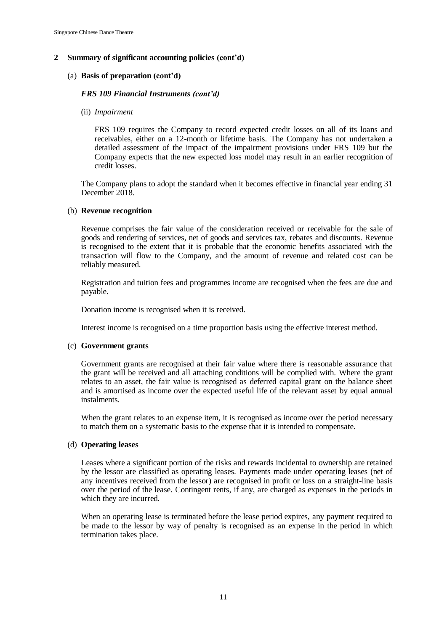# (a) **Basis of preparation (cont'd)**

## *FRS 109 Financial Instruments (cont'd)*

(ii) *Impairment*

FRS 109 requires the Company to record expected credit losses on all of its loans and receivables, either on a 12-month or lifetime basis. The Company has not undertaken a detailed assessment of the impact of the impairment provisions under FRS 109 but the Company expects that the new expected loss model may result in an earlier recognition of credit losses.

The Company plans to adopt the standard when it becomes effective in financial year ending 31 December 2018.

## (b) **Revenue recognition**

Revenue comprises the fair value of the consideration received or receivable for the sale of goods and rendering of services, net of goods and services tax, rebates and discounts. Revenue is recognised to the extent that it is probable that the economic benefits associated with the transaction will flow to the Company, and the amount of revenue and related cost can be reliably measured.

Registration and tuition fees and programmes income are recognised when the fees are due and payable.

Donation income is recognised when it is received.

Interest income is recognised on a time proportion basis using the effective interest method.

## (c) **Government grants**

Government grants are recognised at their fair value where there is reasonable assurance that the grant will be received and all attaching conditions will be complied with. Where the grant relates to an asset, the fair value is recognised as deferred capital grant on the balance sheet and is amortised as income over the expected useful life of the relevant asset by equal annual instalments.

When the grant relates to an expense item, it is recognised as income over the period necessary to match them on a systematic basis to the expense that it is intended to compensate.

## (d) **Operating leases**

Leases where a significant portion of the risks and rewards incidental to ownership are retained by the lessor are classified as operating leases. Payments made under operating leases (net of any incentives received from the lessor) are recognised in profit or loss on a straight-line basis over the period of the lease. Contingent rents, if any, are charged as expenses in the periods in which they are incurred.

When an operating lease is terminated before the lease period expires, any payment required to be made to the lessor by way of penalty is recognised as an expense in the period in which termination takes place.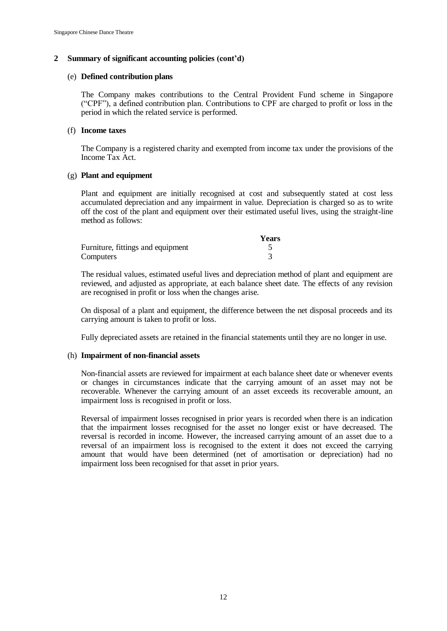#### (e) **Defined contribution plans**

The Company makes contributions to the Central Provident Fund scheme in Singapore ("CPF"), a defined contribution plan. Contributions to CPF are charged to profit or loss in the period in which the related service is performed.

### (f) **Income taxes**

The Company is a registered charity and exempted from income tax under the provisions of the Income Tax Act.

## (g) **Plant and equipment**

Plant and equipment are initially recognised at cost and subsequently stated at cost less accumulated depreciation and any impairment in value. Depreciation is charged so as to write off the cost of the plant and equipment over their estimated useful lives, using the straight-line method as follows:

|                                   | <b>Years</b> |
|-----------------------------------|--------------|
| Furniture, fittings and equipment |              |
| Computers                         |              |

The residual values, estimated useful lives and depreciation method of plant and equipment are reviewed, and adjusted as appropriate, at each balance sheet date. The effects of any revision are recognised in profit or loss when the changes arise.

On disposal of a plant and equipment, the difference between the net disposal proceeds and its carrying amount is taken to profit or loss.

Fully depreciated assets are retained in the financial statements until they are no longer in use.

#### (h) **Impairment of non-financial assets**

Non-financial assets are reviewed for impairment at each balance sheet date or whenever events or changes in circumstances indicate that the carrying amount of an asset may not be recoverable. Whenever the carrying amount of an asset exceeds its recoverable amount, an impairment loss is recognised in profit or loss.

Reversal of impairment losses recognised in prior years is recorded when there is an indication that the impairment losses recognised for the asset no longer exist or have decreased. The reversal is recorded in income. However, the increased carrying amount of an asset due to a reversal of an impairment loss is recognised to the extent it does not exceed the carrying amount that would have been determined (net of amortisation or depreciation) had no impairment loss been recognised for that asset in prior years.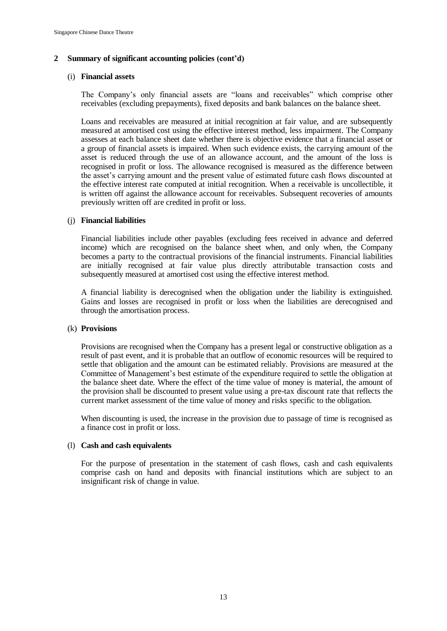### (i) **Financial assets**

The Company's only financial assets are "loans and receivables" which comprise other receivables (excluding prepayments), fixed deposits and bank balances on the balance sheet.

Loans and receivables are measured at initial recognition at fair value, and are subsequently measured at amortised cost using the effective interest method, less impairment. The Company assesses at each balance sheet date whether there is objective evidence that a financial asset or a group of financial assets is impaired. When such evidence exists, the carrying amount of the asset is reduced through the use of an allowance account, and the amount of the loss is recognised in profit or loss. The allowance recognised is measured as the difference between the asset's carrying amount and the present value of estimated future cash flows discounted at the effective interest rate computed at initial recognition. When a receivable is uncollectible, it is written off against the allowance account for receivables. Subsequent recoveries of amounts previously written off are credited in profit or loss.

#### (j) **Financial liabilities**

Financial liabilities include other payables (excluding fees received in advance and deferred income) which are recognised on the balance sheet when, and only when, the Company becomes a party to the contractual provisions of the financial instruments. Financial liabilities are initially recognised at fair value plus directly attributable transaction costs and subsequently measured at amortised cost using the effective interest method.

A financial liability is derecognised when the obligation under the liability is extinguished. Gains and losses are recognised in profit or loss when the liabilities are derecognised and through the amortisation process.

#### (k) **Provisions**

Provisions are recognised when the Company has a present legal or constructive obligation as a result of past event, and it is probable that an outflow of economic resources will be required to settle that obligation and the amount can be estimated reliably. Provisions are measured at the Committee of Management's best estimate of the expenditure required to settle the obligation at the balance sheet date. Where the effect of the time value of money is material, the amount of the provision shall be discounted to present value using a pre-tax discount rate that reflects the current market assessment of the time value of money and risks specific to the obligation.

When discounting is used, the increase in the provision due to passage of time is recognised as a finance cost in profit or loss.

#### (l) **Cash and cash equivalents**

For the purpose of presentation in the statement of cash flows, cash and cash equivalents comprise cash on hand and deposits with financial institutions which are subject to an insignificant risk of change in value.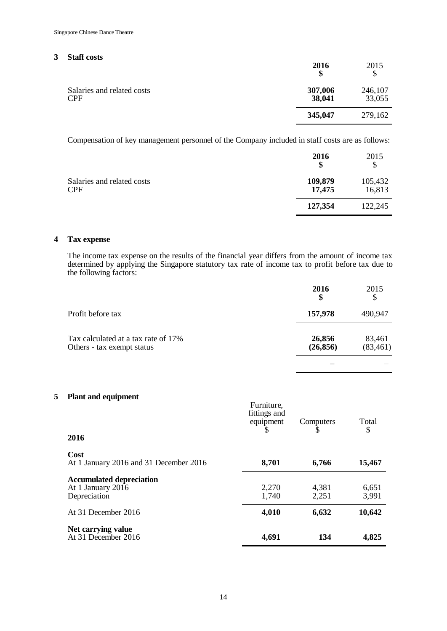## **3 Staff costs**

|                                          | 2016<br>\$        | 2015              |
|------------------------------------------|-------------------|-------------------|
| Salaries and related costs<br><b>CPF</b> | 307,006<br>38,041 | 246,107<br>33,055 |
|                                          | 345,047           | 279,162           |

Compensation of key management personnel of the Company included in staff costs are as follows:

|                                          | 2016<br>\$        | 2015              |
|------------------------------------------|-------------------|-------------------|
| Salaries and related costs<br><b>CPF</b> | 109,879<br>17,475 | 105,432<br>16,813 |
|                                          | 127,354           | 122,245           |

# **4 Tax expense**

The income tax expense on the results of the financial year differs from the amount of income tax determined by applying the Singapore statutory tax rate of income tax to profit before tax due to the following factors:

|                                                                   | 2016<br>\$          | 2015<br>\$          |
|-------------------------------------------------------------------|---------------------|---------------------|
| Profit before tax                                                 | 157,978             | 490,947             |
| Tax calculated at a tax rate of 17%<br>Others - tax exempt status | 26,856<br>(26, 856) | 83,461<br>(83, 461) |
|                                                                   |                     |                     |

# **5 Plant and equipment**

| 2016                                                                 | Furniture,<br>fittings and<br>equipment | Computers      | Total<br>\$    |
|----------------------------------------------------------------------|-----------------------------------------|----------------|----------------|
| Cost<br>At 1 January 2016 and 31 December 2016                       | 8,701                                   | 6,766          | 15,467         |
| <b>Accumulated depreciation</b><br>At 1 January 2016<br>Depreciation | 2,270<br>1,740                          | 4,381<br>2,251 | 6,651<br>3,991 |
| At 31 December 2016                                                  | 4,010                                   | 6,632          | 10,642         |
| Net carrying value<br>At 31 December 2016                            | 4,691                                   | 134            | 4,825          |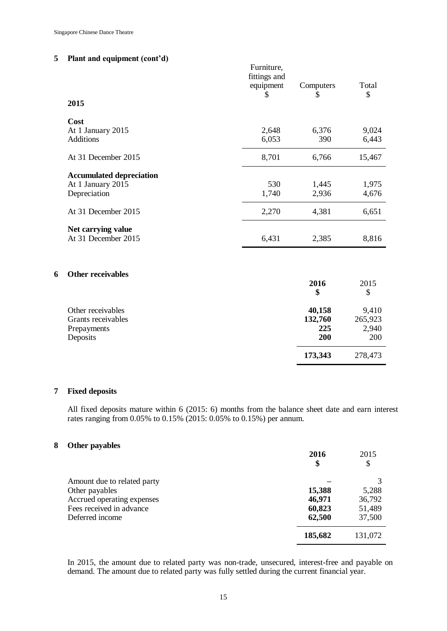# **5 Plant and equipment (cont'd)**

|   | 2015                                  | Furniture,<br>fittings and<br>equipment<br>\$ | Computers<br>\$ | Total<br>\$    |
|---|---------------------------------------|-----------------------------------------------|-----------------|----------------|
|   | Cost                                  |                                               |                 |                |
|   | At 1 January 2015<br><b>Additions</b> | 2,648<br>6,053                                | 6,376<br>390    | 9,024<br>6,443 |
|   | At 31 December 2015                   | 8,701                                         | 6,766           | 15,467         |
|   | <b>Accumulated depreciation</b>       |                                               |                 |                |
|   | At 1 January 2015                     | 530                                           | 1,445           | 1,975          |
|   | Depreciation                          | 1,740                                         | 2,936           | 4,676          |
|   | At 31 December 2015                   | 2,270                                         | 4,381           | 6,651          |
|   | Net carrying value                    |                                               |                 |                |
|   | At 31 December 2015                   | 6,431                                         | 2,385           | 8,816          |
|   |                                       |                                               |                 |                |
| 6 | <b>Other receivables</b>              |                                               |                 |                |
|   |                                       |                                               | 2016<br>\$      | 2015           |
|   |                                       |                                               |                 | \$             |
|   | Other receivables                     |                                               | 40,158          | 9,410          |
|   | Grants receivables                    |                                               | 132,760         | 265,923        |
|   | Prepayments                           |                                               | 225<br>200      | 2,940          |
|   | Deposits                              |                                               |                 | 200            |
|   |                                       |                                               | 173,343         | 278,473        |

# **7 Fixed deposits**

All fixed deposits mature within 6 (2015: 6) months from the balance sheet date and earn interest rates ranging from 0.05% to 0.15% (2015: 0.05% to 0.15%) per annum.

# **8 Other payables**

|                             | 2016<br>\$ | 2015<br>\$ |
|-----------------------------|------------|------------|
| Amount due to related party |            |            |
| Other payables              | 15,388     | 5,288      |
| Accrued operating expenses  | 46,971     | 36,792     |
| Fees received in advance    | 60,823     | 51,489     |
| Deferred income             | 62,500     | 37,500     |
|                             | 185,682    | 131,072    |

In 2015, the amount due to related party was non-trade, unsecured, interest-free and payable on demand. The amount due to related party was fully settled during the current financial year.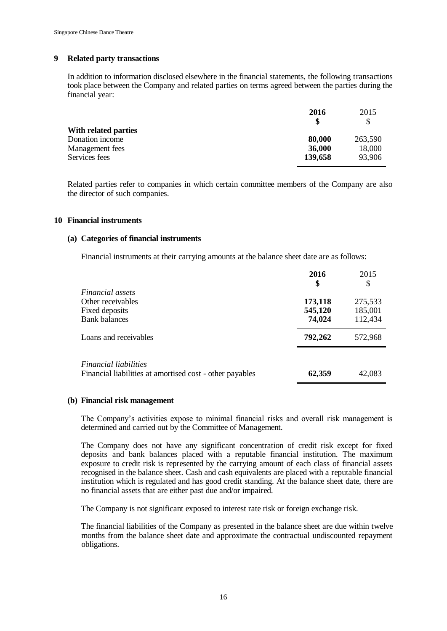### **9 Related party transactions**

In addition to information disclosed elsewhere in the financial statements, the following transactions took place between the Company and related parties on terms agreed between the parties during the financial year:

|                      | 2016    | 2015    |
|----------------------|---------|---------|
|                      |         |         |
| With related parties |         |         |
| Donation income      | 80,000  | 263,590 |
| Management fees      | 36,000  | 18,000  |
| Services fees        | 139,658 | 93,906  |
|                      |         |         |

Related parties refer to companies in which certain committee members of the Company are also the director of such companies.

#### **10 Financial instruments**

#### **(a) Categories of financial instruments**

Financial instruments at their carrying amounts at the balance sheet date are as follows:

|                                                                                          | 2016<br>\$ | 2015<br>S |
|------------------------------------------------------------------------------------------|------------|-----------|
| Financial assets                                                                         |            |           |
| Other receivables                                                                        | 173,118    | 275,533   |
| Fixed deposits                                                                           | 545,120    | 185,001   |
| <b>Bank balances</b>                                                                     | 74,024     | 112,434   |
| Loans and receivables                                                                    | 792,262    | 572,968   |
|                                                                                          |            |           |
| <i>Financial liabilities</i><br>Financial liabilities at amortised cost - other payables | 62,359     | 42,083    |

# **(b) Financial risk management**

The Company's activities expose to minimal financial risks and overall risk management is determined and carried out by the Committee of Management.

The Company does not have any significant concentration of credit risk except for fixed deposits and bank balances placed with a reputable financial institution. The maximum exposure to credit risk is represented by the carrying amount of each class of financial assets recognised in the balance sheet. Cash and cash equivalents are placed with a reputable financial institution which is regulated and has good credit standing. At the balance sheet date, there are no financial assets that are either past due and/or impaired.

The Company is not significant exposed to interest rate risk or foreign exchange risk.

The financial liabilities of the Company as presented in the balance sheet are due within twelve months from the balance sheet date and approximate the contractual undiscounted repayment obligations.